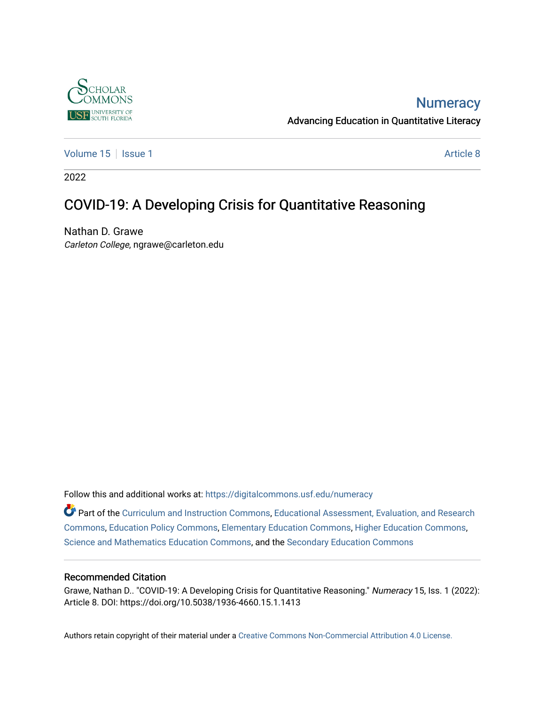

## **Numeracy**

Advancing Education in Quantitative Literacy

[Volume 15](https://digitalcommons.usf.edu/numeracy/vol15) | [Issue 1](https://digitalcommons.usf.edu/numeracy/vol15/iss1) Article 8

2022

# COVID-19: A Developing Crisis for Quantitative Reasoning

Nathan D. Grawe Carleton College, ngrawe@carleton.edu

Follow this and additional works at: [https://digitalcommons.usf.edu/numeracy](https://digitalcommons.usf.edu/numeracy?utm_source=digitalcommons.usf.edu%2Fnumeracy%2Fvol15%2Fiss1%2Fart8&utm_medium=PDF&utm_campaign=PDFCoverPages) 

Part of the [Curriculum and Instruction Commons,](http://network.bepress.com/hgg/discipline/786?utm_source=digitalcommons.usf.edu%2Fnumeracy%2Fvol15%2Fiss1%2Fart8&utm_medium=PDF&utm_campaign=PDFCoverPages) [Educational Assessment, Evaluation, and Research](http://network.bepress.com/hgg/discipline/796?utm_source=digitalcommons.usf.edu%2Fnumeracy%2Fvol15%2Fiss1%2Fart8&utm_medium=PDF&utm_campaign=PDFCoverPages)  [Commons](http://network.bepress.com/hgg/discipline/796?utm_source=digitalcommons.usf.edu%2Fnumeracy%2Fvol15%2Fiss1%2Fart8&utm_medium=PDF&utm_campaign=PDFCoverPages), [Education Policy Commons,](http://network.bepress.com/hgg/discipline/1026?utm_source=digitalcommons.usf.edu%2Fnumeracy%2Fvol15%2Fiss1%2Fart8&utm_medium=PDF&utm_campaign=PDFCoverPages) [Elementary Education Commons](http://network.bepress.com/hgg/discipline/1378?utm_source=digitalcommons.usf.edu%2Fnumeracy%2Fvol15%2Fiss1%2Fart8&utm_medium=PDF&utm_campaign=PDFCoverPages), [Higher Education Commons,](http://network.bepress.com/hgg/discipline/1245?utm_source=digitalcommons.usf.edu%2Fnumeracy%2Fvol15%2Fiss1%2Fart8&utm_medium=PDF&utm_campaign=PDFCoverPages) [Science and Mathematics Education Commons](http://network.bepress.com/hgg/discipline/800?utm_source=digitalcommons.usf.edu%2Fnumeracy%2Fvol15%2Fiss1%2Fart8&utm_medium=PDF&utm_campaign=PDFCoverPages), and the [Secondary Education Commons](http://network.bepress.com/hgg/discipline/1382?utm_source=digitalcommons.usf.edu%2Fnumeracy%2Fvol15%2Fiss1%2Fart8&utm_medium=PDF&utm_campaign=PDFCoverPages) 

#### Recommended Citation

Grawe, Nathan D.. "COVID-19: A Developing Crisis for Quantitative Reasoning." Numeracy 15, Iss. 1 (2022): Article 8. DOI: https://doi.org/10.5038/1936-4660.15.1.1413

Authors retain copyright of their material under a [Creative Commons Non-Commercial Attribution 4.0 License.](http://creativecommons.org/licenses/by-nc/4.0/)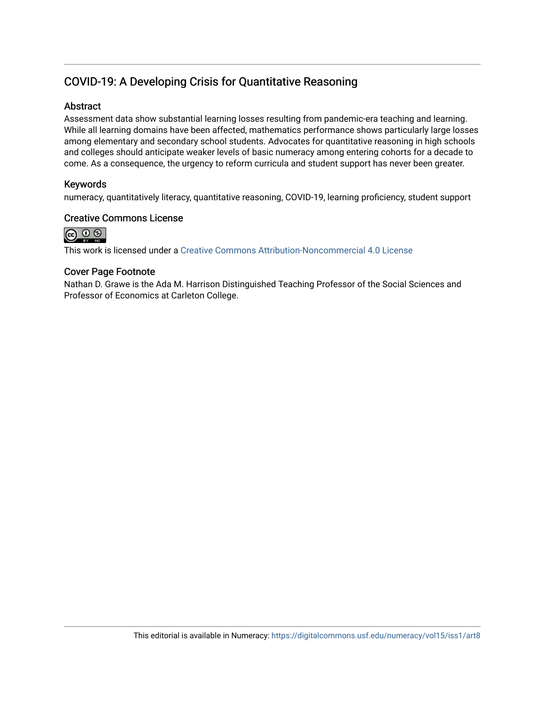## COVID-19: A Developing Crisis for Quantitative Reasoning

#### **Abstract**

Assessment data show substantial learning losses resulting from pandemic-era teaching and learning. While all learning domains have been affected, mathematics performance shows particularly large losses among elementary and secondary school students. Advocates for quantitative reasoning in high schools and colleges should anticipate weaker levels of basic numeracy among entering cohorts for a decade to come. As a consequence, the urgency to reform curricula and student support has never been greater.

#### Keywords

numeracy, quantitatively literacy, quantitative reasoning, COVID-19, learning proficiency, student support

#### Creative Commons License



This work is licensed under a [Creative Commons Attribution-Noncommercial 4.0 License](https://creativecommons.org/licenses/by-nc/4.0/legalcode) 

#### Cover Page Footnote

Nathan D. Grawe is the Ada M. Harrison Distinguished Teaching Professor of the Social Sciences and Professor of Economics at Carleton College.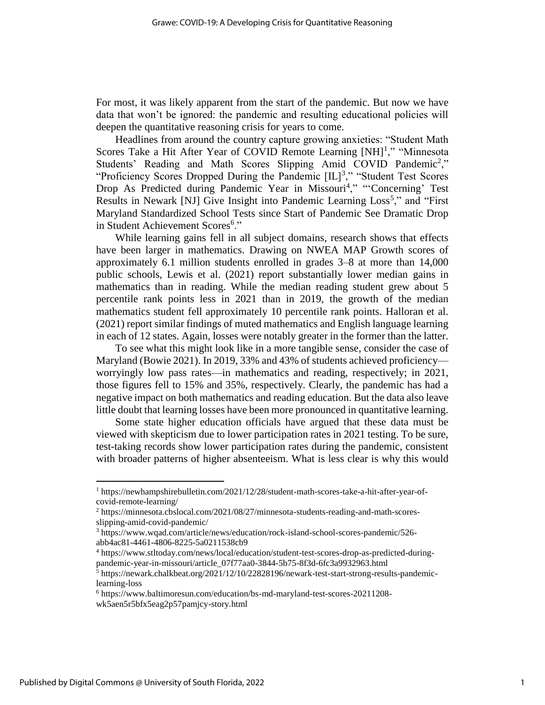For most, it was likely apparent from the start of the pandemic. But now we have data that won't be ignored: the pandemic and resulting educational policies will deepen the quantitative reasoning crisis for years to come.

Headlines from around the country capture growing anxieties: "Student Math Scores Take a Hit After Year of COVID Remote Learning [NH]<sup>1</sup>," "Minnesota Students' Reading and Math Scores Slipping Amid COVID Pandemic<sup>2</sup>," "Proficiency Scores Dropped During the Pandemic  $[IL]^3$ ," "Student Test Scores" Drop As Predicted during Pandemic Year in Missouri<sup>4</sup>," "Concerning' Test Results in Newark [NJ] Give Insight into Pandemic Learning Loss<sup>5</sup>," and "First Maryland Standardized School Tests since Start of Pandemic See Dramatic Drop in Student Achievement Scores<sup>6</sup>."

While learning gains fell in all subject domains, research shows that effects have been larger in mathematics. Drawing on NWEA MAP Growth scores of approximately 6.1 million students enrolled in grades 3–8 at more than 14,000 public schools, Lewis et al. (2021) report substantially lower median gains in mathematics than in reading. While the median reading student grew about 5 percentile rank points less in 2021 than in 2019, the growth of the median mathematics student fell approximately 10 percentile rank points. Halloran et al. (2021) report similar findings of muted mathematics and English language learning in each of 12 states. Again, losses were notably greater in the former than the latter.

To see what this might look like in a more tangible sense, consider the case of Maryland (Bowie 2021). In 2019, 33% and 43% of students achieved proficiency worryingly low pass rates—in mathematics and reading, respectively; in 2021, those figures fell to 15% and 35%, respectively. Clearly, the pandemic has had a negative impact on both mathematics and reading education. But the data also leave little doubt that learning losses have been more pronounced in quantitative learning.

Some state higher education officials have argued that these data must be viewed with skepticism due to lower participation rates in 2021 testing. To be sure, test-taking records show lower participation rates during the pandemic, consistent with broader patterns of higher absenteeism. What is less clear is why this would

 $\overline{\phantom{a}}$ 

<sup>1</sup> https://newhampshirebulletin.com/2021/12/28/student-math-scores-take-a-hit-after-year-ofcovid-remote-learning/

<sup>&</sup>lt;sup>2</sup> https://minnesota.cbslocal.com/2021/08/27/minnesota-students-reading-and-math-scoresslipping-amid-covid-pandemic/

<sup>3</sup> https://www.wqad.com/article/news/education/rock-island-school-scores-pandemic/526 abb4ac81-4461-4806-8225-5a0211538cb9

<sup>4</sup> https://www.stltoday.com/news/local/education/student-test-scores-drop-as-predicted-duringpandemic-year-in-missouri/article\_07f77aa0-3844-5b75-8f3d-6fc3a9932963.html

 $5$  https://newark.chalkbeat.org/2021/12/10/22828196/newark-test-start-strong-results-pandemiclearning-loss

<sup>6</sup> https://www.baltimoresun.com/education/bs-md-maryland-test-scores-20211208 wk5aen5r5bfx5eag2p57pamjcy-story.html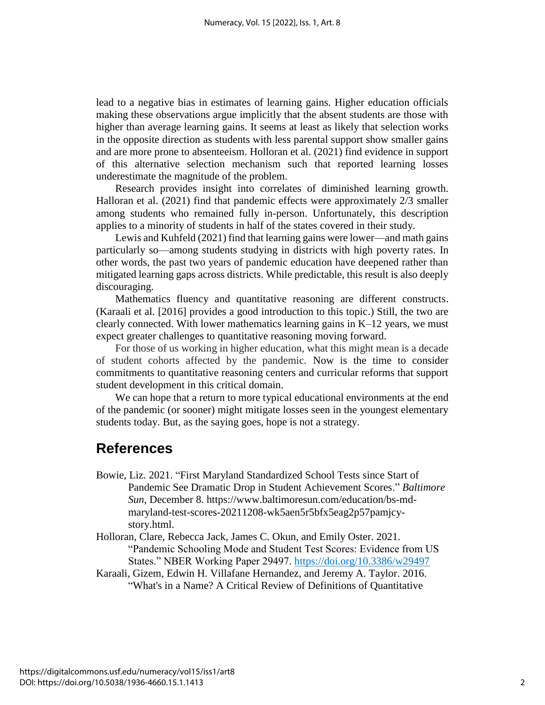lead to a negative bias in estimates of learning gains. Higher education officials making these observations argue implicitly that the absent students are those with higher than average learning gains. It seems at least as likely that selection works in the opposite direction as students with less parental support show smaller gains and are more prone to absenteeism. Holloran et al. (2021) find evidence in support of this alternative selection mechanism such that reported learning losses underestimate the magnitude of the problem.

Research provides insight into correlates of diminished learning growth. Halloran et al. (2021) find that pandemic effects were approximately 2/3 smaller among students who remained fully in-person. Unfortunately, this description applies to a minority of students in half of the states covered in their study.

Lewis and Kuhfeld (2021) find that learning gains were lower—and math gains particularly so—among students studying in districts with high poverty rates. In other words, the past two years of pandemic education have deepened rather than mitigated learning gaps across districts. While predictable, this result is also deeply discouraging.

Mathematics fluency and quantitative reasoning are different constructs. (Karaali et al. [2016] provides a good introduction to this topic.) Still, the two are clearly connected. With lower mathematics learning gains in K–12 years, we must expect greater challenges to quantitative reasoning moving forward.

For those of us working in higher education, what this might mean is a decade of student cohorts affected by the pandemic. Now is the time to consider commitments to quantitative reasoning centers and curricular reforms that support student development in this critical domain.

We can hope that a return to more typical educational environments at the end of the pandemic (or sooner) might mitigate losses seen in the youngest elementary students today. But, as the saying goes, hope is not a strategy.

### **References**

- Bowie, Liz. 2021. "First Maryland Standardized School Tests since Start of Pandemic See Dramatic Drop in Student Achievement Scores." *Baltimore Sun*, December 8. https://www.baltimoresun.com/education/bs-mdmaryland-test-scores-20211208-wk5aen5r5bfx5eag2p57pamjcystory.html.
- Holloran, Clare, Rebecca Jack, James C. Okun, and Emily Oster. 2021. "Pandemic Schooling Mode and Student Test Scores: Evidence from US States." NBER Working Paper 29497.<https://doi.org/10.3386/w29497>
- Karaali, Gizem, Edwin H. Villafane Hernandez, and Jeremy A. Taylor. 2016. "What's in a Name? A Critical Review of Definitions of Quantitative